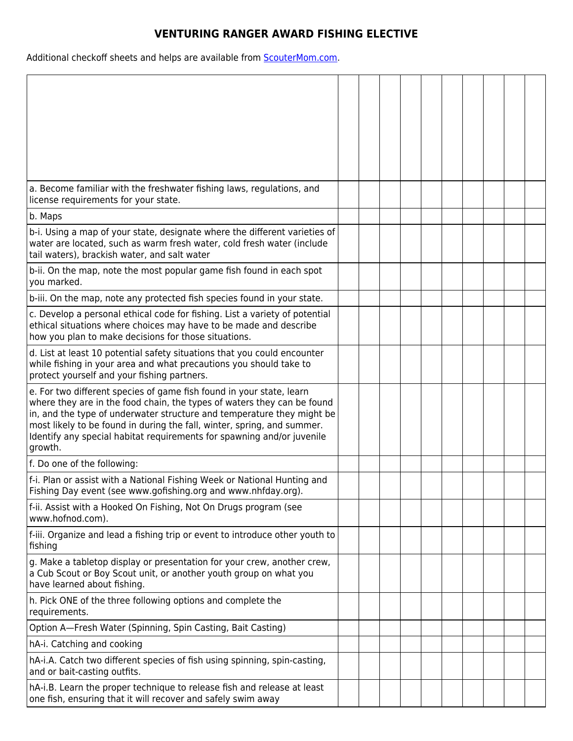## **VENTURING RANGER AWARD FISHING ELECTIVE**

Additional checkoff sheets and helps are available from **ScouterMom.com**.

| a. Become familiar with the freshwater fishing laws, regulations, and<br>license requirements for your state.                                                                                                                                                                                                                                                                             |  |  |  |  |  |
|-------------------------------------------------------------------------------------------------------------------------------------------------------------------------------------------------------------------------------------------------------------------------------------------------------------------------------------------------------------------------------------------|--|--|--|--|--|
| b. Maps                                                                                                                                                                                                                                                                                                                                                                                   |  |  |  |  |  |
| b-i. Using a map of your state, designate where the different varieties of<br>water are located, such as warm fresh water, cold fresh water (include<br>tail waters), brackish water, and salt water                                                                                                                                                                                      |  |  |  |  |  |
| b-ii. On the map, note the most popular game fish found in each spot<br>you marked.                                                                                                                                                                                                                                                                                                       |  |  |  |  |  |
| b-iii. On the map, note any protected fish species found in your state.                                                                                                                                                                                                                                                                                                                   |  |  |  |  |  |
| c. Develop a personal ethical code for fishing. List a variety of potential<br>ethical situations where choices may have to be made and describe<br>how you plan to make decisions for those situations.                                                                                                                                                                                  |  |  |  |  |  |
| d. List at least 10 potential safety situations that you could encounter<br>while fishing in your area and what precautions you should take to<br>protect yourself and your fishing partners.                                                                                                                                                                                             |  |  |  |  |  |
| e. For two different species of game fish found in your state, learn<br>where they are in the food chain, the types of waters they can be found<br>in, and the type of underwater structure and temperature they might be<br>most likely to be found in during the fall, winter, spring, and summer.<br>Identify any special habitat requirements for spawning and/or juvenile<br>growth. |  |  |  |  |  |
| f. Do one of the following:                                                                                                                                                                                                                                                                                                                                                               |  |  |  |  |  |
| f-i. Plan or assist with a National Fishing Week or National Hunting and<br>Fishing Day event (see www.gofishing.org and www.nhfday.org).                                                                                                                                                                                                                                                 |  |  |  |  |  |
| f-ii. Assist with a Hooked On Fishing, Not On Drugs program (see<br>www.hofnod.com).                                                                                                                                                                                                                                                                                                      |  |  |  |  |  |
| f-iii. Organize and lead a fishing trip or event to introduce other youth to<br>fishing                                                                                                                                                                                                                                                                                                   |  |  |  |  |  |
| g. Make a tabletop display or presentation for your crew, another crew,<br>a Cub Scout or Boy Scout unit, or another youth group on what you<br>have learned about fishing.                                                                                                                                                                                                               |  |  |  |  |  |
| h. Pick ONE of the three following options and complete the<br>requirements.                                                                                                                                                                                                                                                                                                              |  |  |  |  |  |
| Option A-Fresh Water (Spinning, Spin Casting, Bait Casting)                                                                                                                                                                                                                                                                                                                               |  |  |  |  |  |
| hA-i. Catching and cooking                                                                                                                                                                                                                                                                                                                                                                |  |  |  |  |  |
| hA-i.A. Catch two different species of fish using spinning, spin-casting,<br>and or bait-casting outfits.                                                                                                                                                                                                                                                                                 |  |  |  |  |  |
| hA-i.B. Learn the proper technique to release fish and release at least<br>one fish, ensuring that it will recover and safely swim away                                                                                                                                                                                                                                                   |  |  |  |  |  |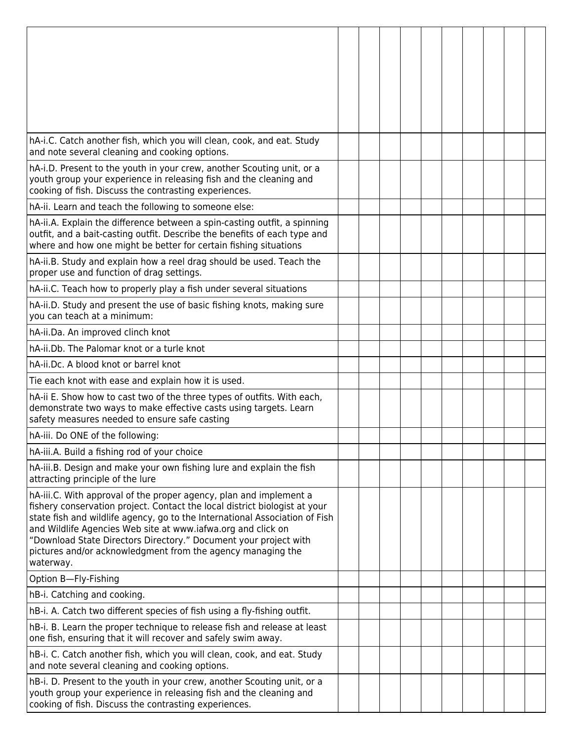| hA-i.C. Catch another fish, which you will clean, cook, and eat. Study<br>and note several cleaning and cooking options.                                                                                                                                                                                                                                                                                                                        |  |  |  |  |  |
|-------------------------------------------------------------------------------------------------------------------------------------------------------------------------------------------------------------------------------------------------------------------------------------------------------------------------------------------------------------------------------------------------------------------------------------------------|--|--|--|--|--|
| hA-i.D. Present to the youth in your crew, another Scouting unit, or a<br>youth group your experience in releasing fish and the cleaning and<br>cooking of fish. Discuss the contrasting experiences.                                                                                                                                                                                                                                           |  |  |  |  |  |
| hA-ii. Learn and teach the following to someone else:                                                                                                                                                                                                                                                                                                                                                                                           |  |  |  |  |  |
| hA-ii.A. Explain the difference between a spin-casting outfit, a spinning<br>outfit, and a bait-casting outfit. Describe the benefits of each type and<br>where and how one might be better for certain fishing situations                                                                                                                                                                                                                      |  |  |  |  |  |
| hA-ii.B. Study and explain how a reel drag should be used. Teach the<br>proper use and function of drag settings.                                                                                                                                                                                                                                                                                                                               |  |  |  |  |  |
| hA-ii.C. Teach how to properly play a fish under several situations                                                                                                                                                                                                                                                                                                                                                                             |  |  |  |  |  |
| hA-ii.D. Study and present the use of basic fishing knots, making sure<br>you can teach at a minimum:                                                                                                                                                                                                                                                                                                                                           |  |  |  |  |  |
| hA-ii.Da. An improved clinch knot                                                                                                                                                                                                                                                                                                                                                                                                               |  |  |  |  |  |
| hA-ii.Db. The Palomar knot or a turle knot                                                                                                                                                                                                                                                                                                                                                                                                      |  |  |  |  |  |
| hA-ii.Dc. A blood knot or barrel knot                                                                                                                                                                                                                                                                                                                                                                                                           |  |  |  |  |  |
| Tie each knot with ease and explain how it is used.                                                                                                                                                                                                                                                                                                                                                                                             |  |  |  |  |  |
| hA-ii E. Show how to cast two of the three types of outfits. With each,<br>demonstrate two ways to make effective casts using targets. Learn<br>safety measures needed to ensure safe casting                                                                                                                                                                                                                                                   |  |  |  |  |  |
| hA-iii. Do ONE of the following:                                                                                                                                                                                                                                                                                                                                                                                                                |  |  |  |  |  |
| hA-iii.A. Build a fishing rod of your choice                                                                                                                                                                                                                                                                                                                                                                                                    |  |  |  |  |  |
| hA-iii.B. Design and make your own fishing lure and explain the fish<br>attracting principle of the lure                                                                                                                                                                                                                                                                                                                                        |  |  |  |  |  |
| hA-iii.C. With approval of the proper agency, plan and implement a<br>fishery conservation project. Contact the local district biologist at your<br>state fish and wildlife agency, go to the International Association of Fish<br>and Wildlife Agencies Web site at www.iafwa.org and click on<br>"Download State Directors Directory." Document your project with<br>pictures and/or acknowledgment from the agency managing the<br>waterway. |  |  |  |  |  |
| Option B-Fly-Fishing                                                                                                                                                                                                                                                                                                                                                                                                                            |  |  |  |  |  |
| hB-i. Catching and cooking.                                                                                                                                                                                                                                                                                                                                                                                                                     |  |  |  |  |  |
| hB-i. A. Catch two different species of fish using a fly-fishing outfit.                                                                                                                                                                                                                                                                                                                                                                        |  |  |  |  |  |
| hB-i. B. Learn the proper technique to release fish and release at least<br>one fish, ensuring that it will recover and safely swim away.                                                                                                                                                                                                                                                                                                       |  |  |  |  |  |
| hB-i. C. Catch another fish, which you will clean, cook, and eat. Study<br>and note several cleaning and cooking options.                                                                                                                                                                                                                                                                                                                       |  |  |  |  |  |
| hB-i. D. Present to the youth in your crew, another Scouting unit, or a<br>youth group your experience in releasing fish and the cleaning and<br>cooking of fish. Discuss the contrasting experiences.                                                                                                                                                                                                                                          |  |  |  |  |  |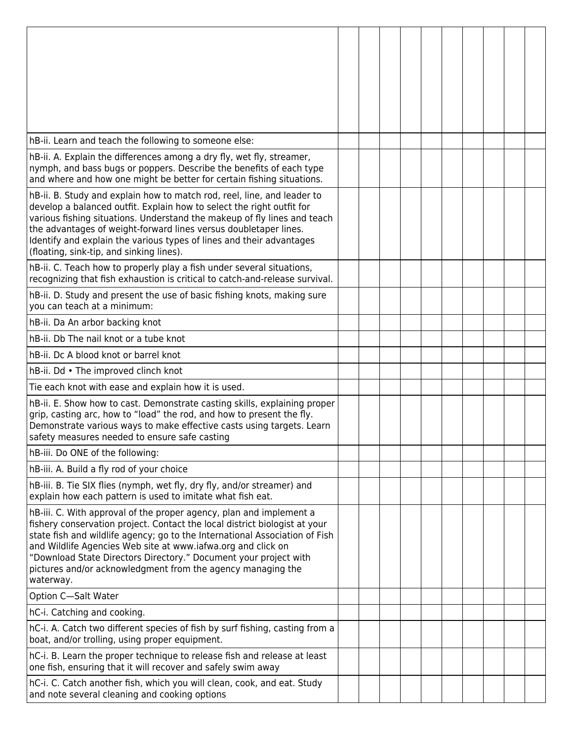| hB-ii. Learn and teach the following to someone else:                                                                                                                                                                                                                                                                                                                                                                                            |  |  |  |  |  |
|--------------------------------------------------------------------------------------------------------------------------------------------------------------------------------------------------------------------------------------------------------------------------------------------------------------------------------------------------------------------------------------------------------------------------------------------------|--|--|--|--|--|
| hB-ii. A. Explain the differences among a dry fly, wet fly, streamer,<br>nymph, and bass bugs or poppers. Describe the benefits of each type<br>and where and how one might be better for certain fishing situations.                                                                                                                                                                                                                            |  |  |  |  |  |
| hB-ii. B. Study and explain how to match rod, reel, line, and leader to<br>develop a balanced outfit. Explain how to select the right outfit for<br>various fishing situations. Understand the makeup of fly lines and teach<br>the advantages of weight-forward lines versus doubletaper lines.<br>Identify and explain the various types of lines and their advantages<br>(floating, sink-tip, and sinking lines).                             |  |  |  |  |  |
| hB-ii. C. Teach how to properly play a fish under several situations,<br>recognizing that fish exhaustion is critical to catch-and-release survival.                                                                                                                                                                                                                                                                                             |  |  |  |  |  |
| hB-ii. D. Study and present the use of basic fishing knots, making sure<br>you can teach at a minimum:                                                                                                                                                                                                                                                                                                                                           |  |  |  |  |  |
| hB-ii. Da An arbor backing knot                                                                                                                                                                                                                                                                                                                                                                                                                  |  |  |  |  |  |
| hB-ii. Db The nail knot or a tube knot                                                                                                                                                                                                                                                                                                                                                                                                           |  |  |  |  |  |
| hB-ii. Dc A blood knot or barrel knot                                                                                                                                                                                                                                                                                                                                                                                                            |  |  |  |  |  |
| hB-ii. Dd • The improved clinch knot                                                                                                                                                                                                                                                                                                                                                                                                             |  |  |  |  |  |
| Tie each knot with ease and explain how it is used.                                                                                                                                                                                                                                                                                                                                                                                              |  |  |  |  |  |
| hB-ii. E. Show how to cast. Demonstrate casting skills, explaining proper<br>grip, casting arc, how to "load" the rod, and how to present the fly.<br>Demonstrate various ways to make effective casts using targets. Learn<br>safety measures needed to ensure safe casting                                                                                                                                                                     |  |  |  |  |  |
| hB-iii. Do ONE of the following:                                                                                                                                                                                                                                                                                                                                                                                                                 |  |  |  |  |  |
| hB-iii. A. Build a fly rod of your choice                                                                                                                                                                                                                                                                                                                                                                                                        |  |  |  |  |  |
| hB-iii. B. Tie SIX flies (nymph, wet fly, dry fly, and/or streamer) and<br>explain how each pattern is used to imitate what fish eat.                                                                                                                                                                                                                                                                                                            |  |  |  |  |  |
| hB-iii. C. With approval of the proper agency, plan and implement a<br>fishery conservation project. Contact the local district biologist at your<br>state fish and wildlife agency; go to the International Association of Fish<br>and Wildlife Agencies Web site at www.iafwa.org and click on<br>"Download State Directors Directory." Document your project with<br>pictures and/or acknowledgment from the agency managing the<br>waterway. |  |  |  |  |  |
| Option C-Salt Water                                                                                                                                                                                                                                                                                                                                                                                                                              |  |  |  |  |  |
| hC-i. Catching and cooking.                                                                                                                                                                                                                                                                                                                                                                                                                      |  |  |  |  |  |
| hC-i. A. Catch two different species of fish by surf fishing, casting from a<br>boat, and/or trolling, using proper equipment.                                                                                                                                                                                                                                                                                                                   |  |  |  |  |  |
| hC-i. B. Learn the proper technique to release fish and release at least<br>one fish, ensuring that it will recover and safely swim away                                                                                                                                                                                                                                                                                                         |  |  |  |  |  |
| hC-i. C. Catch another fish, which you will clean, cook, and eat. Study<br>and note several cleaning and cooking options                                                                                                                                                                                                                                                                                                                         |  |  |  |  |  |